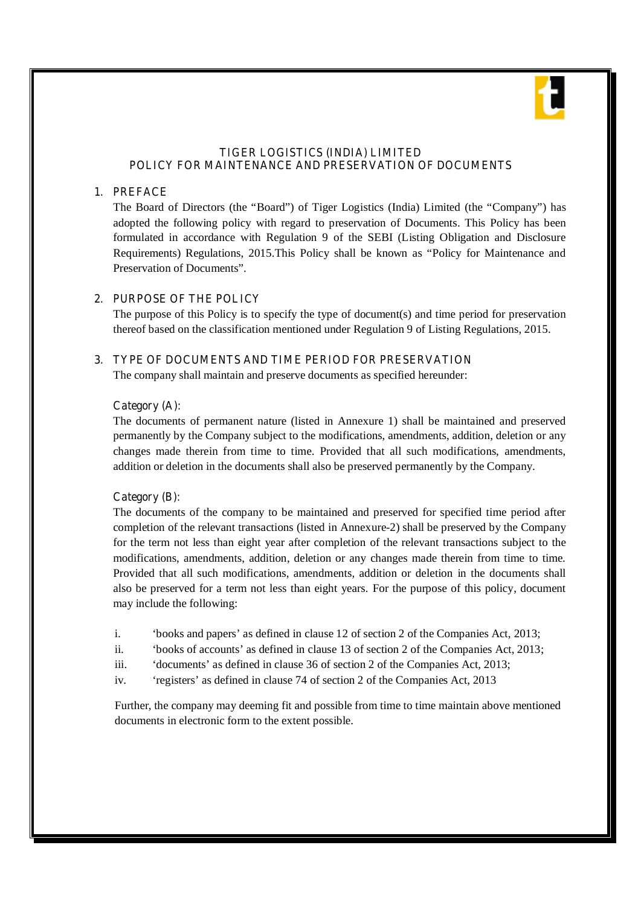

### **TIGER LOGISTICS (INDIA) LIMITED POLICY FOR MAINTENANCE AND PRESERVATION OF DOCUMENTS**

### **1. PREFACE**

The Board of Directors (the "Board") of Tiger Logistics (India) Limited (the "Company") has adopted the following policy with regard to preservation of Documents. This Policy has been formulated in accordance with Regulation 9 of the SEBI (Listing Obligation and Disclosure Requirements) Regulations, 2015.This Policy shall be known as "Policy for Maintenance and Preservation of Documents".

### **2. PURPOSE OF THE POLICY**

The purpose of this Policy is to specify the type of document(s) and time period for preservation thereof based on the classification mentioned under Regulation 9 of Listing Regulations, 2015.

### **3. TYPE OF DOCUMENTS AND TIME PERIOD FOR PRESERVATION**

The company shall maintain and preserve documents as specified hereunder:

#### **Category (A):**

The documents of permanent nature (listed in Annexure 1) shall be maintained and preserved permanently by the Company subject to the modifications, amendments, addition, deletion or any changes made therein from time to time. Provided that all such modifications, amendments, addition or deletion in the documents shall also be preserved permanently by the Company.

#### **Category (B):**

The documents of the company to be maintained and preserved for specified time period after completion of the relevant transactions (listed in Annexure-2) shall be preserved by the Company for the term not less than eight year after completion of the relevant transactions subject to the modifications, amendments, addition, deletion or any changes made therein from time to time. Provided that all such modifications, amendments, addition or deletion in the documents shall also be preserved for a term not less than eight years. For the purpose of this policy, document may include the following:

- i. 'books and papers' as defined in clause 12 of section 2 of the Companies Act, 2013;
- ii. 'books of accounts' as defined in clause 13 of section 2 of the Companies Act, 2013;
- iii. 'documents' as defined in clause 36 of section 2 of the Companies Act, 2013;
- iv. 'registers' as defined in clause 74 of section 2 of the Companies Act, 2013

Further, the company may deeming fit and possible from time to time maintain above mentioned documents in electronic form to the extent possible.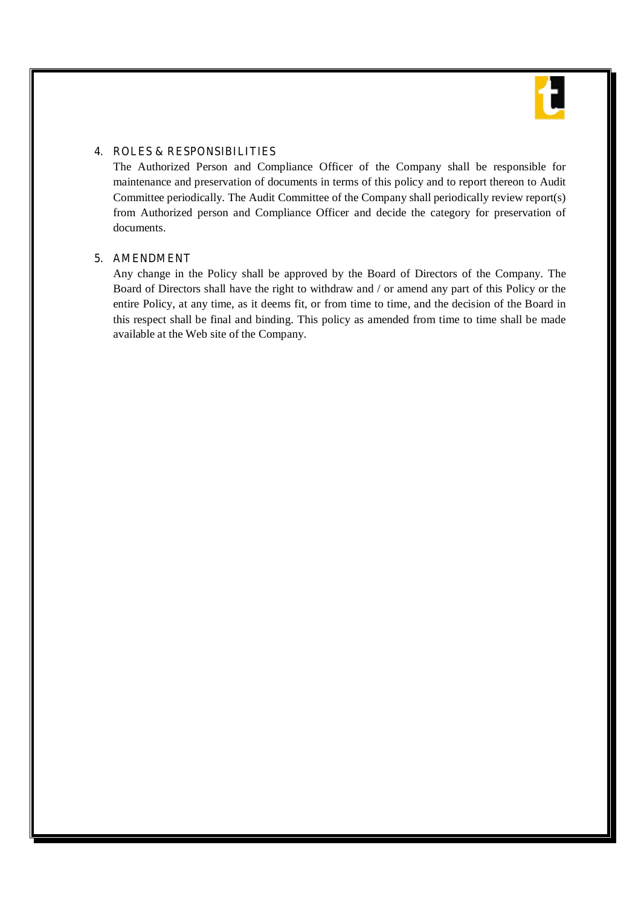

### **4. ROLES & RESPONSIBILITIES**

The Authorized Person and Compliance Officer of the Company shall be responsible for maintenance and preservation of documents in terms of this policy and to report thereon to Audit Committee periodically. The Audit Committee of the Company shall periodically review report(s) from Authorized person and Compliance Officer and decide the category for preservation of documents.

### **5. AMENDMENT**

Any change in the Policy shall be approved by the Board of Directors of the Company. The Board of Directors shall have the right to withdraw and / or amend any part of this Policy or the entire Policy, at any time, as it deems fit, or from time to time, and the decision of the Board in this respect shall be final and binding. This policy as amended from time to time shall be made available at the Web site of the Company.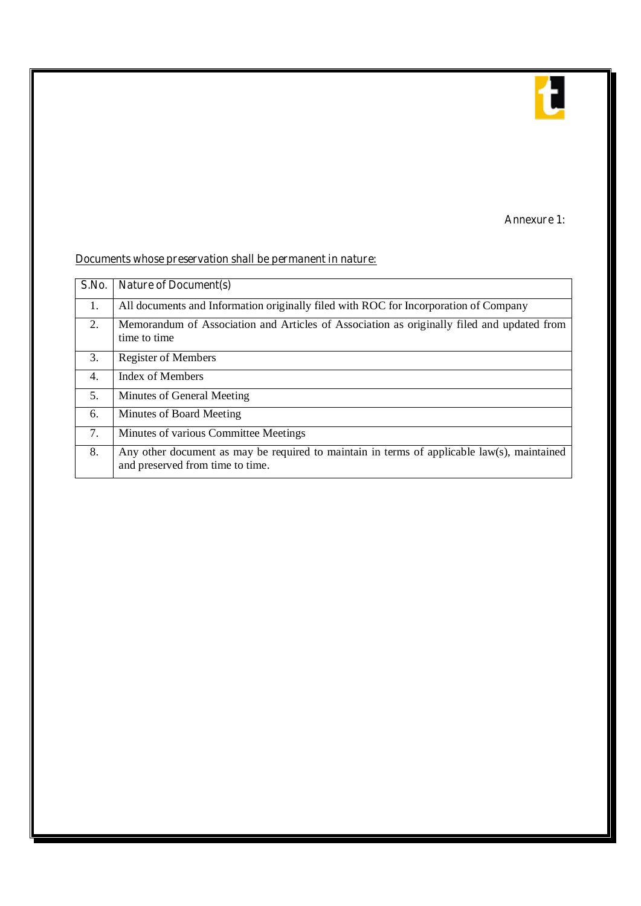

## **Annexure 1:**

# **Documents whose preservation shall be permanent in nature:**

| S.No. | <b>Nature of Document(s)</b>                                                                                                    |
|-------|---------------------------------------------------------------------------------------------------------------------------------|
| 1.    | All documents and Information originally filed with ROC for Incorporation of Company                                            |
| 2.    | Memorandum of Association and Articles of Association as originally filed and updated from<br>time to time                      |
| 3.    | <b>Register of Members</b>                                                                                                      |
| 4.    | <b>Index of Members</b>                                                                                                         |
| .5.   | Minutes of General Meeting                                                                                                      |
| 6.    | Minutes of Board Meeting                                                                                                        |
| 7.    | Minutes of various Committee Meetings                                                                                           |
| 8.    | Any other document as may be required to maintain in terms of applicable law(s), maintained<br>and preserved from time to time. |